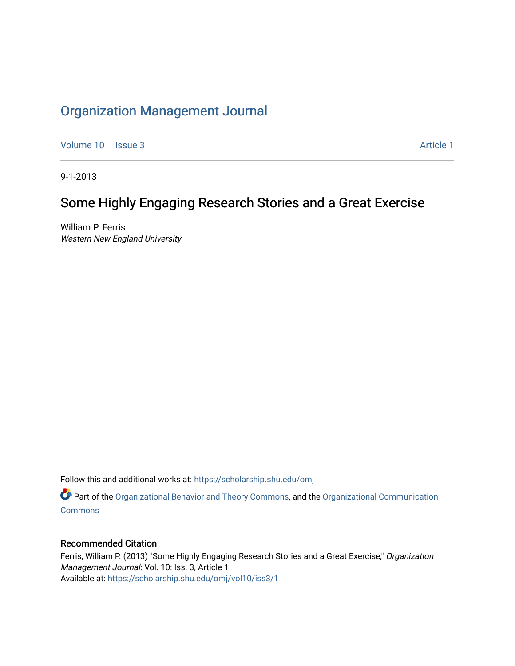# [Organization Management Journal](https://scholarship.shu.edu/omj)

[Volume 10](https://scholarship.shu.edu/omj/vol10) | [Issue 3](https://scholarship.shu.edu/omj/vol10/iss3) Article 1

9-1-2013

# Some Highly Engaging Research Stories and a Great Exercise

William P. Ferris Western New England University

Follow this and additional works at: [https://scholarship.shu.edu/omj](https://scholarship.shu.edu/omj?utm_source=scholarship.shu.edu%2Fomj%2Fvol10%2Fiss3%2F1&utm_medium=PDF&utm_campaign=PDFCoverPages) 

Part of the [Organizational Behavior and Theory Commons,](http://network.bepress.com/hgg/discipline/639?utm_source=scholarship.shu.edu%2Fomj%2Fvol10%2Fiss3%2F1&utm_medium=PDF&utm_campaign=PDFCoverPages) and the [Organizational Communication](http://network.bepress.com/hgg/discipline/335?utm_source=scholarship.shu.edu%2Fomj%2Fvol10%2Fiss3%2F1&utm_medium=PDF&utm_campaign=PDFCoverPages) **[Commons](http://network.bepress.com/hgg/discipline/335?utm_source=scholarship.shu.edu%2Fomj%2Fvol10%2Fiss3%2F1&utm_medium=PDF&utm_campaign=PDFCoverPages)** 

### Recommended Citation

Ferris, William P. (2013) "Some Highly Engaging Research Stories and a Great Exercise," Organization Management Journal: Vol. 10: Iss. 3, Article 1. Available at: [https://scholarship.shu.edu/omj/vol10/iss3/1](https://scholarship.shu.edu/omj/vol10/iss3/1?utm_source=scholarship.shu.edu%2Fomj%2Fvol10%2Fiss3%2F1&utm_medium=PDF&utm_campaign=PDFCoverPages)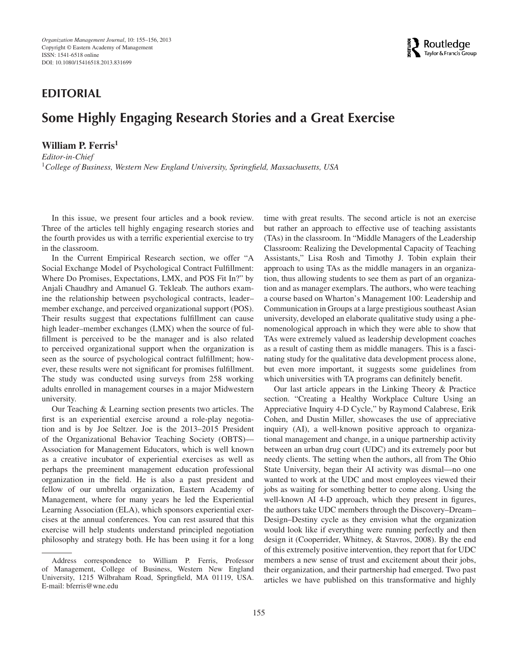### **EDITORIAL**

## **Some Highly Engaging Research Stories and a Great Exercise**

### **William P. Ferris<sup>1</sup>**

*Editor-in-Chief* <sup>1</sup>*College of Business, Western New England University, Springfield, Massachusetts, USA*

In this issue, we present four articles and a book review. Three of the articles tell highly engaging research stories and the fourth provides us with a terrific experiential exercise to try in the classroom.

In the Current Empirical Research section, we offer "A Social Exchange Model of Psychological Contract Fulfillment: Where Do Promises, Expectations, LMX, and POS Fit In?" by Anjali Chaudhry and Amanuel G. Tekleab. The authors examine the relationship between psychological contracts, leader– member exchange, and perceived organizational support (POS). Their results suggest that expectations fulfillment can cause high leader–member exchanges (LMX) when the source of fulfillment is perceived to be the manager and is also related to perceived organizational support when the organization is seen as the source of psychological contract fulfillment; however, these results were not significant for promises fulfillment. The study was conducted using surveys from 258 working adults enrolled in management courses in a major Midwestern university.

Our Teaching & Learning section presents two articles. The first is an experiential exercise around a role-play negotiation and is by Joe Seltzer. Joe is the 2013–2015 President of the Organizational Behavior Teaching Society (OBTS)— Association for Management Educators, which is well known as a creative incubator of experiential exercises as well as perhaps the preeminent management education professional organization in the field. He is also a past president and fellow of our umbrella organization, Eastern Academy of Management, where for many years he led the Experiential Learning Association (ELA), which sponsors experiential exercises at the annual conferences. You can rest assured that this exercise will help students understand principled negotiation philosophy and strategy both. He has been using it for a long

time with great results. The second article is not an exercise but rather an approach to effective use of teaching assistants (TAs) in the classroom. In "Middle Managers of the Leadership Classroom: Realizing the Developmental Capacity of Teaching Assistants," Lisa Rosh and Timothy J. Tobin explain their approach to using TAs as the middle managers in an organization, thus allowing students to see them as part of an organization and as manager exemplars. The authors, who were teaching a course based on Wharton's Management 100: Leadership and Communication in Groups at a large prestigious southeast Asian university, developed an elaborate qualitative study using a phenomenological approach in which they were able to show that TAs were extremely valued as leadership development coaches as a result of casting them as middle managers. This is a fascinating study for the qualitative data development process alone, but even more important, it suggests some guidelines from which universities with TA programs can definitely benefit.

Our last article appears in the Linking Theory & Practice section. "Creating a Healthy Workplace Culture Using an Appreciative Inquiry 4-D Cycle," by Raymond Calabrese, Erik Cohen, and Dustin Miller, showcases the use of appreciative inquiry (AI), a well-known positive approach to organizational management and change, in a unique partnership activity between an urban drug court (UDC) and its extremely poor but needy clients. The setting when the authors, all from The Ohio State University, began their AI activity was dismal—no one wanted to work at the UDC and most employees viewed their jobs as waiting for something better to come along. Using the well-known AI 4-D approach, which they present in figures, the authors take UDC members through the Discovery–Dream– Design–Destiny cycle as they envision what the organization would look like if everything were running perfectly and then design it (Cooperrider, Whitney, & Stavros, 2008). By the end of this extremely positive intervention, they report that for UDC members a new sense of trust and excitement about their jobs, their organization, and their partnership had emerged. Two past articles we have published on this transformative and highly

Address correspondence to William P. Ferris, Professor of Management, College of Business, Western New England University, 1215 Wilbraham Road, Springfield, MA 01119, USA. E-mail: bferris@wne.edu